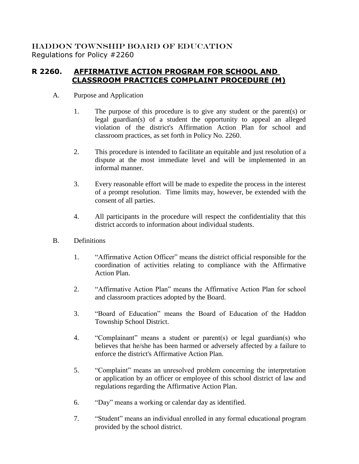## HADDON TOWNSHIP BOARD OF EDUCATION Regulations for Policy #2260

## **R 2260. AFFIRMATIVE ACTION PROGRAM FOR SCHOOL AND CLASSROOM PRACTICES COMPLAINT PROCEDURE (M)**

- A. Purpose and Application
	- 1. The purpose of this procedure is to give any student or the parent(s) or legal guardian(s) of a student the opportunity to appeal an alleged violation of the district's Affirmation Action Plan for school and classroom practices, as set forth in Policy No. 2260.
	- 2. This procedure is intended to facilitate an equitable and just resolution of a dispute at the most immediate level and will be implemented in an informal manner.
	- 3. Every reasonable effort will be made to expedite the process in the interest of a prompt resolution. Time limits may, however, be extended with the consent of all parties.
	- 4. All participants in the procedure will respect the confidentiality that this district accords to information about individual students.
- B. Definitions
	- 1. "Affirmative Action Officer" means the district official responsible for the coordination of activities relating to compliance with the Affirmative Action Plan.
	- 2. "Affirmative Action Plan" means the Affirmative Action Plan for school and classroom practices adopted by the Board.
	- 3. "Board of Education" means the Board of Education of the Haddon Township School District.
	- 4. "Complainant" means a student or parent(s) or legal guardian(s) who believes that he/she has been harmed or adversely affected by a failure to enforce the district's Affirmative Action Plan.
	- 5. "Complaint" means an unresolved problem concerning the interpretation or application by an officer or employee of this school district of law and regulations regarding the Affirmative Action Plan.
	- 6. "Day" means a working or calendar day as identified.
	- 7. "Student" means an individual enrolled in any formal educational program provided by the school district.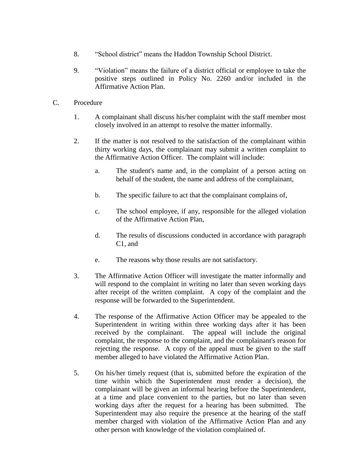- 8. "School district" means the Haddon Township School District.
- 9. "Violation" means the failure of a district official or employee to take the positive steps outlined in Policy No. 2260 and/or included in the Affirmative Action Plan.
- C. Procedure
	- 1. A complainant shall discuss his/her complaint with the staff member most closely involved in an attempt to resolve the matter informally.
	- 2. If the matter is not resolved to the satisfaction of the complainant within thirty working days, the complainant may submit a written complaint to the Affirmative Action Officer. The complaint will include:
		- a. The student's name and, in the complaint of a person acting on behalf of the student, the name and address of the complainant,
		- b. The specific failure to act that the complainant complains of,
		- c. The school employee, if any, responsible for the alleged violation of the Affirmative Action Plan,
		- d. The results of discussions conducted in accordance with paragraph C1, and
		- e. The reasons why those results are not satisfactory.
	- 3. The Affirmative Action Officer will investigate the matter informally and will respond to the complaint in writing no later than seven working days after receipt of the written complaint. A copy of the complaint and the response will be forwarded to the Superintendent.
	- 4. The response of the Affirmative Action Officer may be appealed to the Superintendent in writing within three working days after it has been received by the complainant. The appeal will include the original complaint, the response to the complaint, and the complainant's reason for rejecting the response. A copy of the appeal must be given to the staff member alleged to have violated the Affirmative Action Plan.
	- 5. On his/her timely request (that is, submitted before the expiration of the time within which the Superintendent must render a decision), the complainant will be given an informal hearing before the Superintendent, at a time and place convenient to the parties, but no later than seven working days after the request for a hearing has been submitted. The Superintendent may also require the presence at the hearing of the staff member charged with violation of the Affirmative Action Plan and any other person with knowledge of the violation complained of.